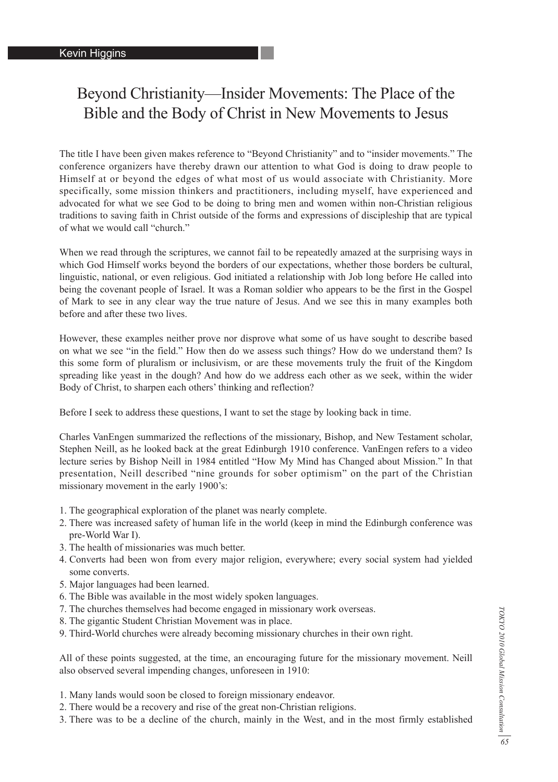# Beyond Christianity—Insider Movements: The Place of the Bible and the Body of Christ in New Movements to Jesus

The title I have been given makes reference to "Beyond Christianity" and to "insider movements." The conference organizers have thereby drawn our attention to what God is doing to draw people to Himself at or beyond the edges of what most of us would associate with Christianity. More specifically, some mission thinkers and practitioners, including myself, have experienced and advocated for what we see God to be doing to bring men and women within non-Christian religious traditions to saving faith in Christ outside of the forms and expressions of discipleship that are typical of what we would call "church."

When we read through the scriptures, we cannot fail to be repeatedly amazed at the surprising ways in which God Himself works beyond the borders of our expectations, whether those borders be cultural, linguistic, national, or even religious. God initiated a relationship with Job long before He called into being the covenant people of Israel. It was a Roman soldier who appears to be the first in the Gospel of Mark to see in any clear way the true nature of Jesus. And we see this in many examples both before and after these two lives.

However, these examples neither prove nor disprove what some of us have sought to describe based on what we see "in the field." How then do we assess such things? How do we understand them? Is this some form of pluralism or inclusivism, or are these movements truly the fruit of the Kingdom spreading like yeast in the dough? And how do we address each other as we seek, within the wider Body of Christ, to sharpen each others' thinking and reflection?

Before I seek to address these questions, I want to set the stage by looking back in time.

Charles VanEngen summarized the reflections of the missionary, Bishop, and New Testament scholar, Stephen Neill, as he looked back at the great Edinburgh 1910 conference. VanEngen refers to a video lecture series by Bishop Neill in 1984 entitled "How My Mind has Changed about Mission." In that presentation, Neill described "nine grounds for sober optimism" on the part of the Christian missionary movement in the early 1900's:

- 1. The geographical exploration of the planet was nearly complete.
- 2. There was increased safety of human life in the world (keep in mind the Edinburgh conference was pre-World War I).
- 3. The health of missionaries was much better.
- 4. Converts had been won from every major religion, everywhere; every social system had yielded some converts.
- 5. Major languages had been learned.
- 6. The Bible was available in the most widely spoken languages.
- 7. The churches themselves had become engaged in missionary work overseas.
- 8. The gigantic Student Christian Movement was in place.
- 9. Third-World churches were already becoming missionary churches in their own right.

All of these points suggested, at the time, an encouraging future for the missionary movement. Neill also observed several impending changes, unforeseen in 1910:

- 1. Many lands would soon be closed to foreign missionary endeavor.
- 2. There would be a recovery and rise of the great non-Christian religions.
- 3. There was to be a decline of the church, mainly in the West, and in the most firmly established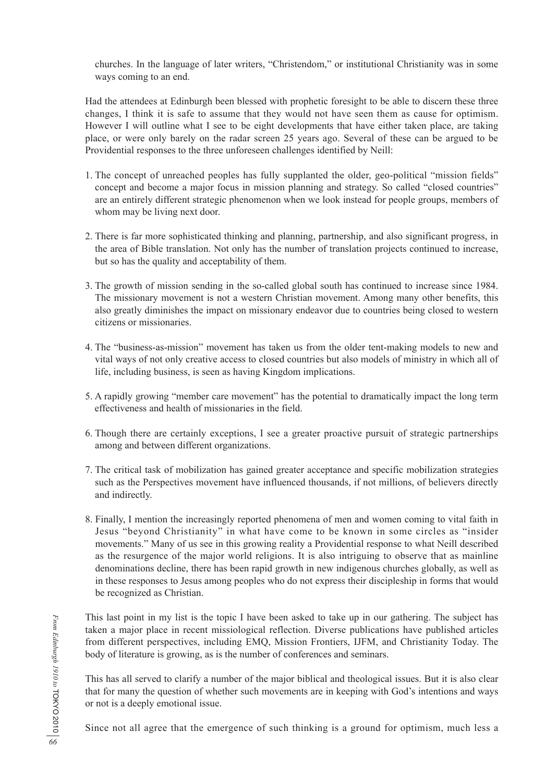churches. In the language of later writers, "Christendom," or institutional Christianity was in some ways coming to an end.

Had the attendees at Edinburgh been blessed with prophetic foresight to be able to discern these three changes, I think it is safe to assume that they would not have seen them as cause for optimism. However I will outline what I see to be eight developments that have either taken place, are taking place, or were only barely on the radar screen 25 years ago. Several of these can be argued to be Providential responses to the three unforeseen challenges identified by Neill:

- 1. The concept of unreached peoples has fully supplanted the older, geo-political "mission fields" concept and become a major focus in mission planning and strategy. So called "closed countries" are an entirely different strategic phenomenon when we look instead for people groups, members of whom may be living next door.
- 2. There is far more sophisticated thinking and planning, partnership, and also significant progress, in the area of Bible translation. Not only has the number of translation projects continued to increase, but so has the quality and acceptability of them.
- 3. The growth of mission sending in the so-called global south has continued to increase since 1984. The missionary movement is not a western Christian movement. Among many other benefits, this also greatly diminishes the impact on missionary endeavor due to countries being closed to western citizens or missionaries.
- 4. The "business-as-mission" movement has taken us from the older tent-making models to new and vital ways of not only creative access to closed countries but also models of ministry in which all of life, including business, is seen as having Kingdom implications.
- 5. A rapidly growing "member care movement" has the potential to dramatically impact the long term effectiveness and health of missionaries in the field.
- 6. Though there are certainly exceptions, I see a greater proactive pursuit of strategic partnerships among and between different organizations.
- 7. The critical task of mobilization has gained greater acceptance and specific mobilization strategies such as the Perspectives movement have influenced thousands, if not millions, of believers directly and indirectly.
- 8. Finally, I mention the increasingly reported phenomena of men and women coming to vital faith in Jesus "beyond Christianity" in what have come to be known in some circles as "insider movements." Many of us see in this growing reality a Providential response to what Neill described as the resurgence of the major world religions. It is also intriguing to observe that as mainline denominations decline, there has been rapid growth in new indigenous churches globally, as well as in these responses to Jesus among peoples who do not express their discipleship in forms that would be recognized as Christian.

This last point in my list is the topic I have been asked to take up in our gathering. The subject has taken a major place in recent missiological reflection. Diverse publications have published articles from different perspectives, including EMQ, Mission Frontiers, IJFM, and Christianity Today. The body of literature is growing, as is the number of conferences and seminars.

This has all served to clarify a number of the major biblical and theological issues. But it is also clear that for many the question of whether such movements are in keeping with God's intentions and ways or not is a deeply emotional issue.

Since not all agree that the emergence of such thinking is a ground for optimism, much less a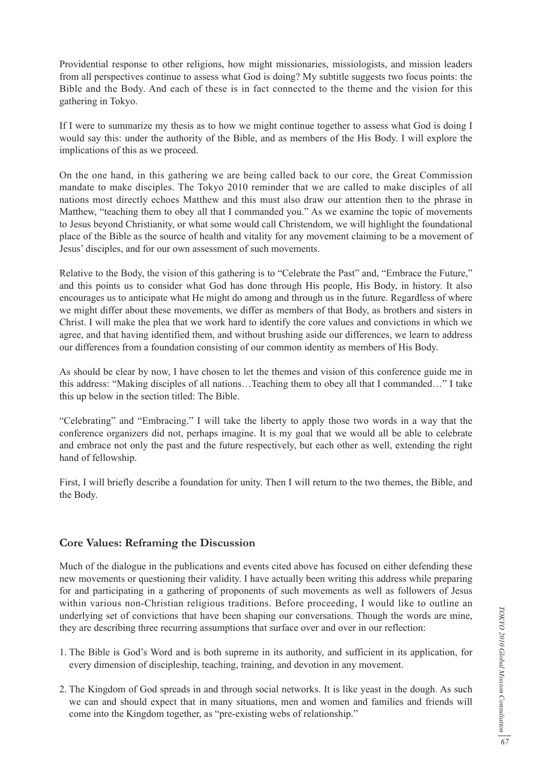Providential response to other religions, how might missionaries, missiologists, and mission leaders from all perspectives continue to assess what God is doing? My subtitle suggests two focus points: the Bible and the Body. And each of these is in fact connected to the theme and the vision for this gathering in Tokyo.

If I were to summarize my thesis as to how we might continue together to assess what God is doing I would say this: under the authority of the Bible, and as members of the His Body. I will explore the implications of this as we proceed.

On the one hand, in this gathering we are being called back to our core, the Great Commission mandate to make disciples. The Tokyo 2010 reminder that we are called to make disciples of all nations most directly echoes Matthew and this must also draw our attention then to the phrase in Matthew, "teaching them to obey all that I commanded you." As we examine the topic of movements to Jesus beyond Christianity, or what some would call Christendom, we will highlight the foundational place of the Bible as the source of health and vitality for any movement claiming to be a movement of Jesus' disciples, and for our own assessment of such movements.

Relative to the Body, the vision of this gathering is to "Celebrate the Past" and, "Embrace the Future," and this points us to consider what God has done through His people, His Body, in history. It also encourages us to anticipate what He might do among and through us in the future. Regardless of where we might differ about these movements, we differ as members of that Body, as brothers and sisters in Christ. I will make the plea that we work hard to identify the core values and convictions in which we agree, and that having identified them, and without brushing aside our differences, we learn to address our differences from a foundation consisting of our common identity as members of His Body.

As should be clear by now, I have chosen to let the themes and vision of this conference guide me in this address: "Making disciples of all nations…Teaching them to obey all that I commanded…" I take this up below in the section titled: The Bible.

"Celebrating" and "Embracing." I will take the liberty to apply those two words in a way that the conference organizers did not, perhaps imagine. It is my goal that we would all be able to celebrate and embrace not only the past and the future respectively, but each other as well, extending the right hand of fellowship.

First, I will briefly describe a foundation for unity. Then I will return to the two themes, the Bible, and the Body.

## **Core Values: Reframing the Discussion**

Much of the dialogue in the publications and events cited above has focused on either defending these new movements or questioning their validity. I have actually been writing this address while preparing for and participating in a gathering of proponents of such movements as well as followers of Jesus within various non-Christian religious traditions. Before proceeding, I would like to outline an underlying set of convictions that have been shaping our conversations. Though the words are mine, they are describing three recurring assumptions that surface over and over in our reflection:

- 1. The Bible is God's Word and is both supreme in its authority, and sufficient in its application, for every dimension of discipleship, teaching, training, and devotion in any movement.
- 2. The Kingdom of God spreads in and through social networks. It is like yeast in the dough. As such we can and should expect that in many situations, men and women and families and friends will come into the Kingdom together, as "pre-existing webs of relationship."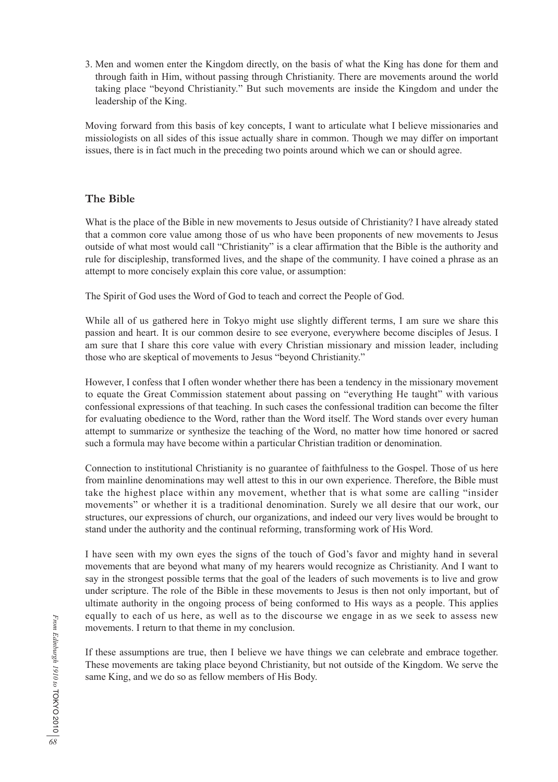3. Men and women enter the Kingdom directly, on the basis of what the King has done for them and through faith in Him, without passing through Christianity. There are movements around the world taking place "beyond Christianity." But such movements are inside the Kingdom and under the leadership of the King.

Moving forward from this basis of key concepts, I want to articulate what I believe missionaries and missiologists on all sides of this issue actually share in common. Though we may differ on important issues, there is in fact much in the preceding two points around which we can or should agree.

## **The Bible**

What is the place of the Bible in new movements to Jesus outside of Christianity? I have already stated that a common core value among those of us who have been proponents of new movements to Jesus outside of what most would call "Christianity" is a clear affirmation that the Bible is the authority and rule for discipleship, transformed lives, and the shape of the community. I have coined a phrase as an attempt to more concisely explain this core value, or assumption:

The Spirit of God uses the Word of God to teach and correct the People of God.

While all of us gathered here in Tokyo might use slightly different terms, I am sure we share this passion and heart. It is our common desire to see everyone, everywhere become disciples of Jesus. I am sure that I share this core value with every Christian missionary and mission leader, including those who are skeptical of movements to Jesus "beyond Christianity."

However, I confess that I often wonder whether there has been a tendency in the missionary movement to equate the Great Commission statement about passing on "everything He taught" with various confessional expressions of that teaching. In such cases the confessional tradition can become the filter for evaluating obedience to the Word, rather than the Word itself. The Word stands over every human attempt to summarize or synthesize the teaching of the Word, no matter how time honored or sacred such a formula may have become within a particular Christian tradition or denomination.

Connection to institutional Christianity is no guarantee of faithfulness to the Gospel. Those of us here from mainline denominations may well attest to this in our own experience. Therefore, the Bible must take the highest place within any movement, whether that is what some are calling "insider movements" or whether it is a traditional denomination. Surely we all desire that our work, our structures, our expressions of church, our organizations, and indeed our very lives would be brought to stand under the authority and the continual reforming, transforming work of His Word.

I have seen with my own eyes the signs of the touch of God's favor and mighty hand in several movements that are beyond what many of my hearers would recognize as Christianity. And I want to say in the strongest possible terms that the goal of the leaders of such movements is to live and grow under scripture. The role of the Bible in these movements to Jesus is then not only important, but of ultimate authority in the ongoing process of being conformed to His ways as a people. This applies equally to each of us here, as well as to the discourse we engage in as we seek to assess new movements. I return to that theme in my conclusion.

If these assumptions are true, then I believe we have things we can celebrate and embrace together. These movements are taking place beyond Christianity, but not outside of the Kingdom. We serve the same King, and we do so as fellow members of His Body.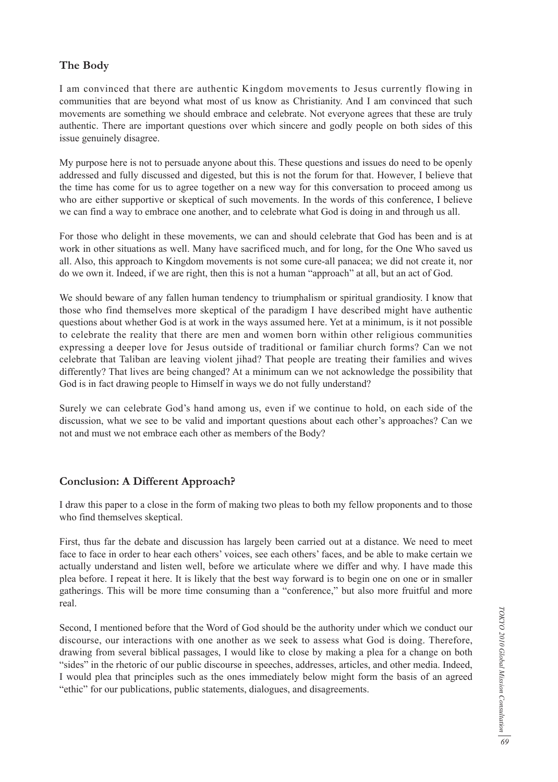## **The Body**

I am convinced that there are authentic Kingdom movements to Jesus currently flowing in communities that are beyond what most of us know as Christianity. And I am convinced that such movements are something we should embrace and celebrate. Not everyone agrees that these are truly authentic. There are important questions over which sincere and godly people on both sides of this issue genuinely disagree.

My purpose here is not to persuade anyone about this. These questions and issues do need to be openly addressed and fully discussed and digested, but this is not the forum for that. However, I believe that the time has come for us to agree together on a new way for this conversation to proceed among us who are either supportive or skeptical of such movements. In the words of this conference, I believe we can find a way to embrace one another, and to celebrate what God is doing in and through us all.

For those who delight in these movements, we can and should celebrate that God has been and is at work in other situations as well. Many have sacrificed much, and for long, for the One Who saved us all. Also, this approach to Kingdom movements is not some cure-all panacea; we did not create it, nor do we own it. Indeed, if we are right, then this is not a human "approach" at all, but an act of God.

We should beware of any fallen human tendency to triumphalism or spiritual grandiosity. I know that those who find themselves more skeptical of the paradigm I have described might have authentic questions about whether God is at work in the ways assumed here. Yet at a minimum, is it not possible to celebrate the reality that there are men and women born within other religious communities expressing a deeper love for Jesus outside of traditional or familiar church forms? Can we not celebrate that Taliban are leaving violent jihad? That people are treating their families and wives differently? That lives are being changed? At a minimum can we not acknowledge the possibility that God is in fact drawing people to Himself in ways we do not fully understand?

Surely we can celebrate God's hand among us, even if we continue to hold, on each side of the discussion, what we see to be valid and important questions about each other's approaches? Can we not and must we not embrace each other as members of the Body?

## **Conclusion: A Different Approach?**

I draw this paper to a close in the form of making two pleas to both my fellow proponents and to those who find themselves skeptical.

First, thus far the debate and discussion has largely been carried out at a distance. We need to meet face to face in order to hear each others' voices, see each others' faces, and be able to make certain we actually understand and listen well, before we articulate where we differ and why. I have made this plea before. I repeat it here. It is likely that the best way forward is to begin one on one or in smaller gatherings. This will be more time consuming than a "conference," but also more fruitful and more real.

Second, I mentioned before that the Word of God should be the authority under which we conduct our discourse, our interactions with one another as we seek to assess what God is doing. Therefore, drawing from several biblical passages, I would like to close by making a plea for a change on both "sides" in the rhetoric of our public discourse in speeches, addresses, articles, and other media. Indeed, I would plea that principles such as the ones immediately below might form the basis of an agreed "ethic" for our publications, public statements, dialogues, and disagreements.